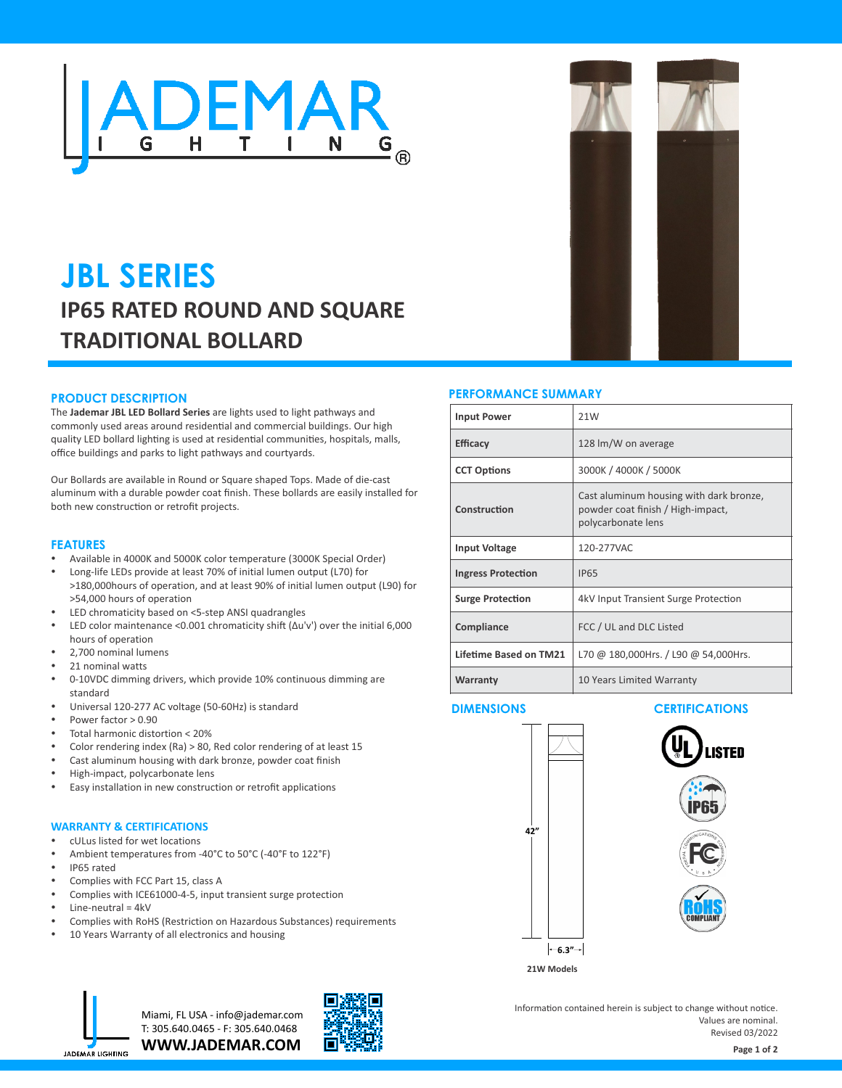

# **JBL SERIES IP65 RATED ROUND AND SQUARE TRADITIONAL BOLLARD**

#### **PRODUCT DESCRIPTION**

The **Jademar JBL LED Bollard Series** are lights used to light pathways and commonly used areas around residential and commercial buildings. Our high quality LED bollard lighting is used at residential communities, hospitals, malls, office buildings and parks to light pathways and courtyards.

Our Bollards are available in Round or Square shaped Tops. Made of die-cast aluminum with a durable powder coat finish. These bollards are easily installed for both new construction or retrofit projects.

#### **FEATURES**

- Available in 4000K and 5000K color temperature (3000K Special Order)
- Long-life LEDs provide at least 70% of initial lumen output (L70) for >180,000hours of operation, and at least 90% of initial lumen output (L90) for >54,000 hours of operation
- LED chromaticity based on <5-step ANSI quadrangles
- LED color maintenance <0.001 chromaticity shift (Δu'v') over the initial 6,000 hours of operation
- 2,700 nominal lumens
- 21 nominal watts
- 0-10VDC dimming drivers, which provide 10% continuous dimming are standard
- Universal 120-277 AC voltage (50-60Hz) is standard
- Power factor  $> 0.90$
- Total harmonic distortion < 20%
- Color rendering index (Ra)  $> 80$ , Red color rendering of at least 15
- Cast aluminum housing with dark bronze, powder coat finish
- High-impact, polycarbonate lens
- Easy installation in new construction or retrofit applications

#### **WARRANTY & CERTIFICATIONS**

- cULus listed for wet locations
- Ambient temperatures from -40°C to 50°C (-40°F to 122°F)
- IP65 rated
- Complies with FCC Part 15, class A
- Complies with ICE61000-4-5, input transient surge protection
- Line-neutral =  $4kV$
- Complies with RoHS (Restriction on Hazardous Substances) requirements
- 10 Years Warranty of all electronics and housing

#### **PERFORMANCE SUMMARY**

| <b>Input Power</b>        | 21W                                                                                                |  |  |  |  |  |
|---------------------------|----------------------------------------------------------------------------------------------------|--|--|--|--|--|
| <b>Efficacy</b>           | 128 lm/W on average                                                                                |  |  |  |  |  |
| <b>CCT Options</b>        | 3000K / 4000K / 5000K                                                                              |  |  |  |  |  |
| Construction              | Cast aluminum housing with dark bronze,<br>powder coat finish / High-impact,<br>polycarbonate lens |  |  |  |  |  |
| <b>Input Voltage</b>      | 120-277VAC                                                                                         |  |  |  |  |  |
| <b>Ingress Protection</b> | <b>IP65</b>                                                                                        |  |  |  |  |  |
| <b>Surge Protection</b>   | 4kV Input Transient Surge Protection                                                               |  |  |  |  |  |
| Compliance                | FCC / UL and DLC Listed                                                                            |  |  |  |  |  |
| Lifetime Based on TM21    | L70 @ 180,000Hrs. / L90 @ 54,000Hrs.                                                               |  |  |  |  |  |
| Warranty                  | 10 Years Limited Warranty                                                                          |  |  |  |  |  |

# $|-6.3"$ <sup>-1</sup> **42"**

#### **DIMENSIONS CERTIFICATIONS**



**21W Models**



**WWW.JADEMAR.COM** Miami, FL USA - info@jademar.com T: 305.640.0465 - F: 305.640.0468



Information contained herein is subject to change without notice. Values are nominal. Revised 03/2022